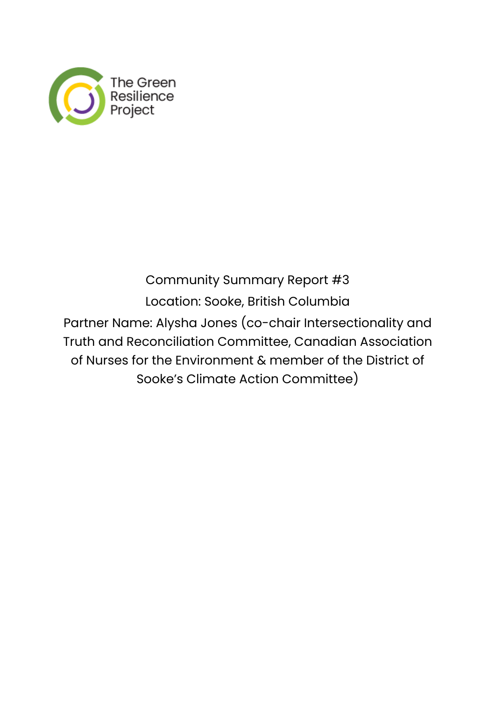

# Community Summary Report #3 Location: Sooke, British Columbia Partner Name: Alysha Jones (co-chair Intersectionality and Truth and Reconciliation Committee, Canadian Association of Nurses for the Environment & member of the District of Sooke's Climate Action Committee)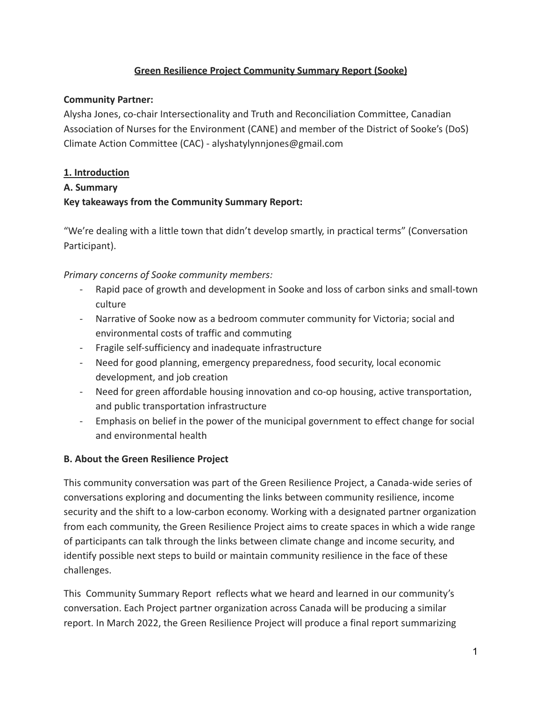## **Green Resilience Project Community Summary Report (Sooke)**

#### **Community Partner:**

Alysha Jones, co-chair Intersectionality and Truth and Reconciliation Committee, Canadian Association of Nurses for the Environment (CANE) and member of the District of Sooke's (DoS) Climate Action Committee (CAC) - alyshatylynnjones@gmail.com

### **1. Introduction**

#### **A. Summary**

## **Key takeaways from the Community Summary Report:**

"We're dealing with a little town that didn't develop smartly, in practical terms" (Conversation Participant).

#### *Primary concerns of Sooke community members:*

- Rapid pace of growth and development in Sooke and loss of carbon sinks and small-town culture
- Narrative of Sooke now as a bedroom commuter community for Victoria; social and environmental costs of traffic and commuting
- Fragile self-sufficiency and inadequate infrastructure
- Need for good planning, emergency preparedness, food security, local economic development, and job creation
- Need for green affordable housing innovation and co-op housing, active transportation, and public transportation infrastructure
- Emphasis on belief in the power of the municipal government to effect change for social and environmental health

## **B. About the Green Resilience Project**

This community conversation was part of the Green Resilience Project, a Canada-wide series of conversations exploring and documenting the links between community resilience, income security and the shift to a low-carbon economy. Working with a designated partner organization from each community, the Green Resilience Project aims to create spaces in which a wide range of participants can talk through the links between climate change and income security, and identify possible next steps to build or maintain community resilience in the face of these challenges.

This Community Summary Report reflects what we heard and learned in our community's conversation. Each Project partner organization across Canada will be producing a similar report. In March 2022, the Green Resilience Project will produce a final report summarizing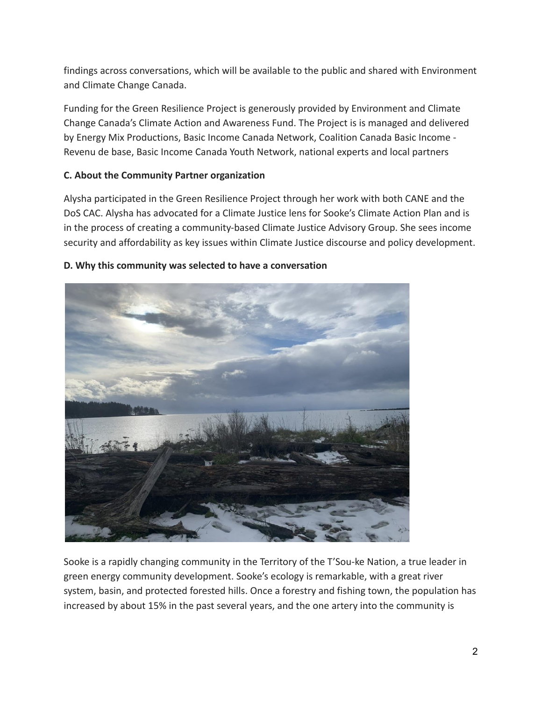findings across conversations, which will be available to the public and shared with Environment and Climate Change Canada.

Funding for the Green Resilience Project is generously provided by Environment and Climate Change Canada's Climate Action and Awareness Fund. The Project is is managed and delivered by Energy Mix Productions, Basic Income Canada Network, Coalition Canada Basic Income - Revenu de base, Basic Income Canada Youth Network, national experts and local partners

#### **C. About the Community Partner organization**

Alysha participated in the Green Resilience Project through her work with both CANE and the DoS CAC. Alysha has advocated for a Climate Justice lens for Sooke's Climate Action Plan and is in the process of creating a community-based Climate Justice Advisory Group. She sees income security and affordability as key issues within Climate Justice discourse and policy development.



#### **D. Why this community was selected to have a conversation**

Sooke is a rapidly changing community in the Territory of the T'Sou-ke Nation, a true leader in green energy community development. Sooke's ecology is remarkable, with a great river system, basin, and protected forested hills. Once a forestry and fishing town, the population has increased by about 15% in the past several years, and the one artery into the community is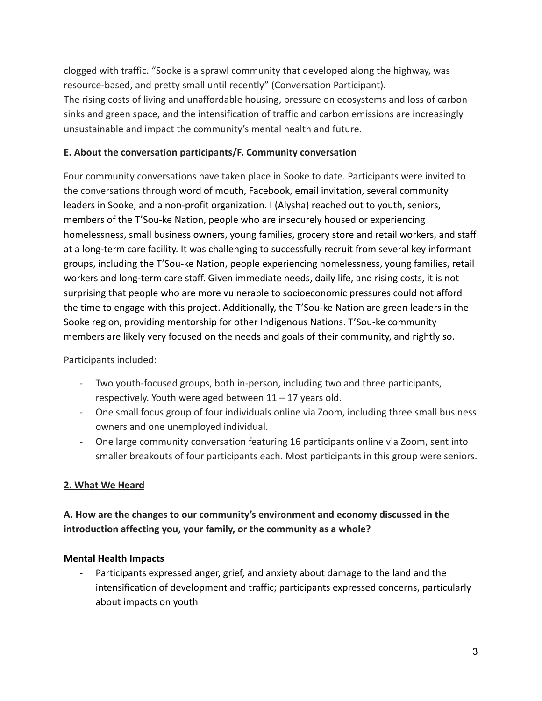clogged with traffic. "Sooke is a sprawl community that developed along the highway, was resource-based, and pretty small until recently" (Conversation Participant). The rising costs of living and unaffordable housing, pressure on ecosystems and loss of carbon sinks and green space, and the intensification of traffic and carbon emissions are increasingly unsustainable and impact the community's mental health and future.

#### **E. About the conversation participants/F. Community conversation**

Four community conversations have taken place in Sooke to date. Participants were invited to the conversations through word of mouth, Facebook, email invitation, several community leaders in Sooke, and a non-profit organization. I (Alysha) reached out to youth, seniors, members of the T'Sou-ke Nation, people who are insecurely housed or experiencing homelessness, small business owners, young families, grocery store and retail workers, and staff at a long-term care facility. It was challenging to successfully recruit from several key informant groups, including the T'Sou-ke Nation, people experiencing homelessness, young families, retail workers and long-term care staff. Given immediate needs, daily life, and rising costs, it is not surprising that people who are more vulnerable to socioeconomic pressures could not afford the time to engage with this project. Additionally, the T'Sou-ke Nation are green leaders in the Sooke region, providing mentorship for other Indigenous Nations. T'Sou-ke community members are likely very focused on the needs and goals of their community, and rightly so.

#### Participants included:

- Two youth-focused groups, both in-person, including two and three participants, respectively. Youth were aged between 11 – 17 years old.
- One small focus group of four individuals online via Zoom, including three small business owners and one unemployed individual.
- One large community conversation featuring 16 participants online via Zoom, sent into smaller breakouts of four participants each. Most participants in this group were seniors.

## **2. What We Heard**

# **A. How are the changes to our community's environment and economy discussed in the introduction affecting you, your family, or the community as a whole?**

#### **Mental Health Impacts**

Participants expressed anger, grief, and anxiety about damage to the land and the intensification of development and traffic; participants expressed concerns, particularly about impacts on youth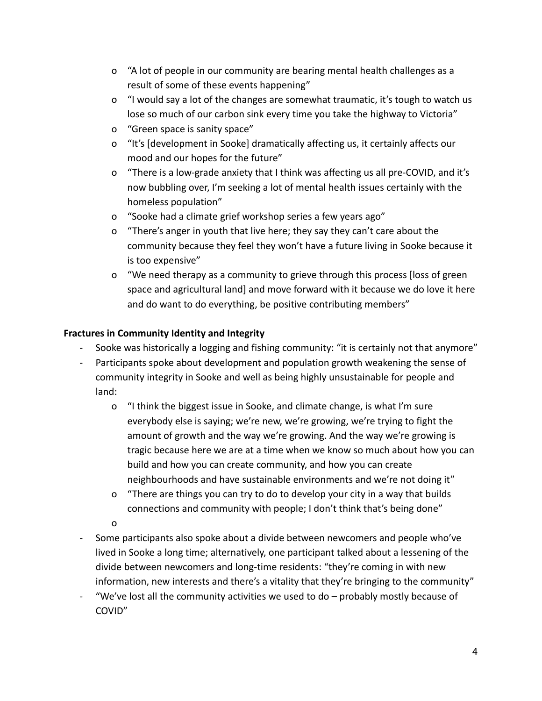- o "A lot of people in our community are bearing mental health challenges as a result of some of these events happening"
- o "I would say a lot of the changes are somewhat traumatic, it's tough to watch us lose so much of our carbon sink every time you take the highway to Victoria"
- o "Green space is sanity space"
- o "It's [development in Sooke] dramatically affecting us, it certainly affects our mood and our hopes for the future"
- o "There is a low-grade anxiety that I think was affecting us all pre-COVID, and it's now bubbling over, I'm seeking a lot of mental health issues certainly with the homeless population"
- o "Sooke had a climate grief workshop series a few years ago"
- o "There's anger in youth that live here; they say they can't care about the community because they feel they won't have a future living in Sooke because it is too expensive"
- o "We need therapy as a community to grieve through this process [loss of green space and agricultural land] and move forward with it because we do love it here and do want to do everything, be positive contributing members"

# **Fractures in Community Identity and Integrity**

- Sooke was historically a logging and fishing community: "it is certainly not that anymore"
- Participants spoke about development and population growth weakening the sense of community integrity in Sooke and well as being highly unsustainable for people and land:
	- o "I think the biggest issue in Sooke, and climate change, is what I'm sure everybody else is saying; we're new, we're growing, we're trying to fight the amount of growth and the way we're growing. And the way we're growing is tragic because here we are at a time when we know so much about how you can build and how you can create community, and how you can create neighbourhoods and have sustainable environments and we're not doing it"
	- o "There are things you can try to do to develop your city in a way that builds connections and community with people; I don't think that's being done"
	- o
- Some participants also spoke about a divide between newcomers and people who've lived in Sooke a long time; alternatively, one participant talked about a lessening of the divide between newcomers and long-time residents: "they're coming in with new information, new interests and there's a vitality that they're bringing to the community"
- "We've lost all the community activities we used to do  $-$  probably mostly because of COVID"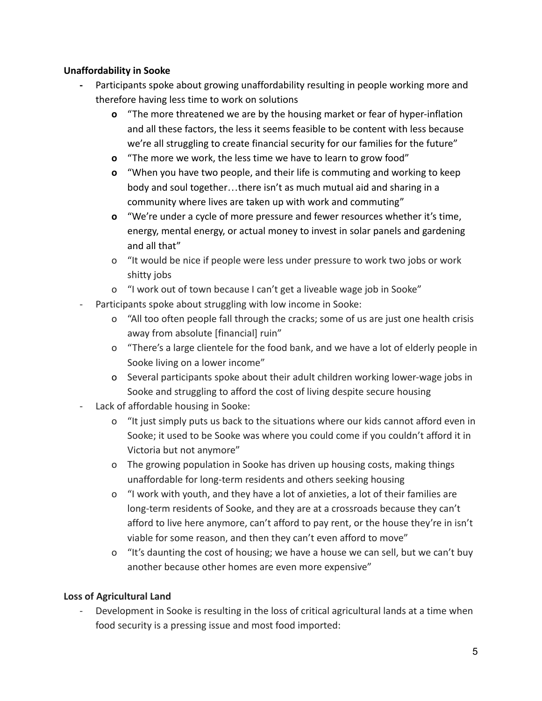#### **Unaffordability in Sooke**

- **-** Participants spoke about growing unaffordability resulting in people working more and therefore having less time to work on solutions
	- **o** "The more threatened we are by the housing market or fear of hyper-inflation and all these factors, the less it seems feasible to be content with less because we're all struggling to create financial security for our families for the future"
	- **o** "The more we work, the less time we have to learn to grow food"
	- **o** "When you have two people, and their life is commuting and working to keep body and soul together…there isn't as much mutual aid and sharing in a community where lives are taken up with work and commuting"
	- **o** "We're under a cycle of more pressure and fewer resources whether it's time, energy, mental energy, or actual money to invest in solar panels and gardening and all that"
	- o "It would be nice if people were less under pressure to work two jobs or work shitty jobs
	- o "I work out of town because I can't get a liveable wage job in Sooke"
- Participants spoke about struggling with low income in Sooke:
	- o "All too often people fall through the cracks; some of us are just one health crisis away from absolute [financial] ruin"
	- o "There's a large clientele for the food bank, and we have a lot of elderly people in Sooke living on a lower income"
	- o Several participants spoke about their adult children working lower-wage jobs in Sooke and struggling to afford the cost of living despite secure housing
- Lack of affordable housing in Sooke:
	- o "It just simply puts us back to the situations where our kids cannot afford even in Sooke; it used to be Sooke was where you could come if you couldn't afford it in Victoria but not anymore"
	- o The growing population in Sooke has driven up housing costs, making things unaffordable for long-term residents and others seeking housing
	- o "I work with youth, and they have a lot of anxieties, a lot of their families are long-term residents of Sooke, and they are at a crossroads because they can't afford to live here anymore, can't afford to pay rent, or the house they're in isn't viable for some reason, and then they can't even afford to move"
	- o "It's daunting the cost of housing; we have a house we can sell, but we can't buy another because other homes are even more expensive"

## **Loss of Agricultural Land**

Development in Sooke is resulting in the loss of critical agricultural lands at a time when food security is a pressing issue and most food imported: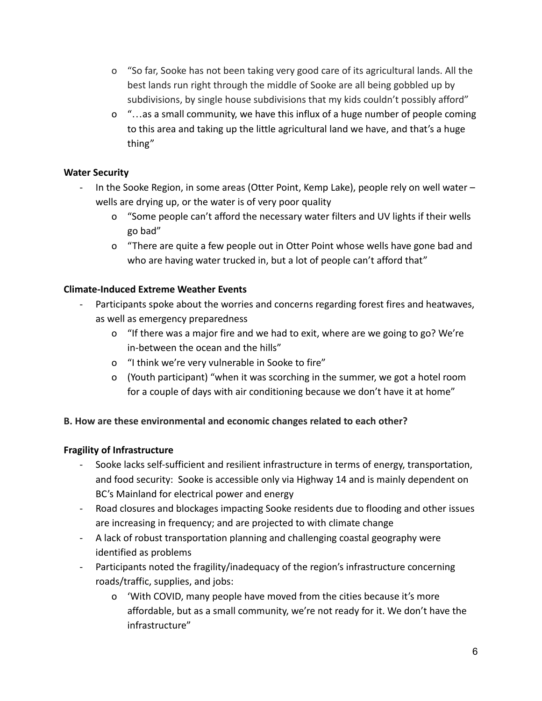- o "So far, Sooke has not been taking very good care of its agricultural lands. All the best lands run right through the middle of Sooke are all being gobbled up by subdivisions, by single house subdivisions that my kids couldn't possibly afford"
- o "…as a small community, we have this influx of a huge number of people coming to this area and taking up the little agricultural land we have, and that's a huge thing"

## **Water Security**

- In the Sooke Region, in some areas (Otter Point, Kemp Lake), people rely on well water wells are drying up, or the water is of very poor quality
	- o "Some people can't afford the necessary water filters and UV lights if their wells go bad"
	- o "There are quite a few people out in Otter Point whose wells have gone bad and who are having water trucked in, but a lot of people can't afford that"

## **Climate-Induced Extreme Weather Events**

- Participants spoke about the worries and concerns regarding forest fires and heatwaves, as well as emergency preparedness
	- o "If there was a major fire and we had to exit, where are we going to go? We're in-between the ocean and the hills"
	- o "I think we're very vulnerable in Sooke to fire"
	- o (Youth participant) "when it was scorching in the summer, we got a hotel room for a couple of days with air conditioning because we don't have it at home"

#### **B. How are these environmental and economic changes related to each other?**

## **Fragility of Infrastructure**

- Sooke lacks self-sufficient and resilient infrastructure in terms of energy, transportation, and food security: Sooke is accessible only via Highway 14 and is mainly dependent on BC's Mainland for electrical power and energy
- Road closures and blockages impacting Sooke residents due to flooding and other issues are increasing in frequency; and are projected to with climate change
- A lack of robust transportation planning and challenging coastal geography were identified as problems
- Participants noted the fragility/inadequacy of the region's infrastructure concerning roads/traffic, supplies, and jobs:
	- o 'With COVID, many people have moved from the cities because it's more affordable, but as a small community, we're not ready for it. We don't have the infrastructure"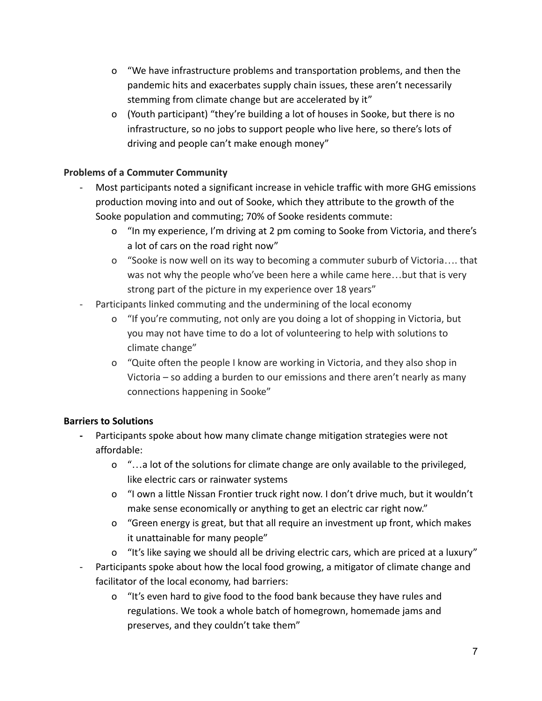- o "We have infrastructure problems and transportation problems, and then the pandemic hits and exacerbates supply chain issues, these aren't necessarily stemming from climate change but are accelerated by it"
- o (Youth participant) "they're building a lot of houses in Sooke, but there is no infrastructure, so no jobs to support people who live here, so there's lots of driving and people can't make enough money"

## **Problems of a Commuter Community**

- Most participants noted a significant increase in vehicle traffic with more GHG emissions production moving into and out of Sooke, which they attribute to the growth of the Sooke population and commuting; 70% of Sooke residents commute:
	- o "In my experience, I'm driving at 2 pm coming to Sooke from Victoria, and there's a lot of cars on the road right now"
	- o "Sooke is now well on its way to becoming a commuter suburb of Victoria…. that was not why the people who've been here a while came here…but that is very strong part of the picture in my experience over 18 years"
- Participants linked commuting and the undermining of the local economy
	- o "If you're commuting, not only are you doing a lot of shopping in Victoria, but you may not have time to do a lot of volunteering to help with solutions to climate change"
	- o "Quite often the people I know are working in Victoria, and they also shop in Victoria – so adding a burden to our emissions and there aren't nearly as many connections happening in Sooke"

## **Barriers to Solutions**

- **-** Participants spoke about how many climate change mitigation strategies were not affordable:
	- o "…a lot of the solutions for climate change are only available to the privileged, like electric cars or rainwater systems
	- o "I own a little Nissan Frontier truck right now. I don't drive much, but it wouldn't make sense economically or anything to get an electric car right now."
	- o "Green energy is great, but that all require an investment up front, which makes it unattainable for many people"
	- o "It's like saying we should all be driving electric cars, which are priced at a luxury"
- Participants spoke about how the local food growing, a mitigator of climate change and facilitator of the local economy, had barriers:
	- o "It's even hard to give food to the food bank because they have rules and regulations. We took a whole batch of homegrown, homemade jams and preserves, and they couldn't take them"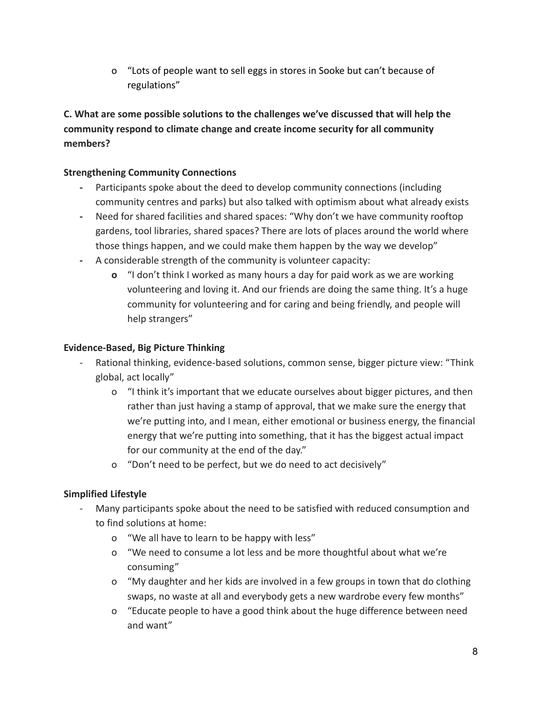o "Lots of people want to sell eggs in stores in Sooke but can't because of regulations"

**C. What are some possible solutions to the challenges we've discussed that will help the community respond to climate change and create income security for all community members?**

### **Strengthening Community Connections**

- **-** Participants spoke about the deed to develop community connections (including community centres and parks) but also talked with optimism about what already exists
- **-** Need for shared facilities and shared spaces: "Why don't we have community rooftop gardens, tool libraries, shared spaces? There are lots of places around the world where those things happen, and we could make them happen by the way we develop"
- **-** A considerable strength of the community is volunteer capacity:
	- **o** "I don't think I worked as many hours a day for paid work as we are working volunteering and loving it. And our friends are doing the same thing. It's a huge community for volunteering and for caring and being friendly, and people will help strangers"

## **Evidence-Based, Big Picture Thinking**

- Rational thinking, evidence-based solutions, common sense, bigger picture view: "Think global, act locally"
	- o "I think it's important that we educate ourselves about bigger pictures, and then rather than just having a stamp of approval, that we make sure the energy that we're putting into, and I mean, either emotional or business energy, the financial energy that we're putting into something, that it has the biggest actual impact for our community at the end of the day."
	- o "Don't need to be perfect, but we do need to act decisively"

# **Simplified Lifestyle**

- Many participants spoke about the need to be satisfied with reduced consumption and to find solutions at home:
	- o "We all have to learn to be happy with less"
	- o "We need to consume a lot less and be more thoughtful about what we're consuming"
	- o "My daughter and her kids are involved in a few groups in town that do clothing swaps, no waste at all and everybody gets a new wardrobe every few months"
	- o "Educate people to have a good think about the huge difference between need and want"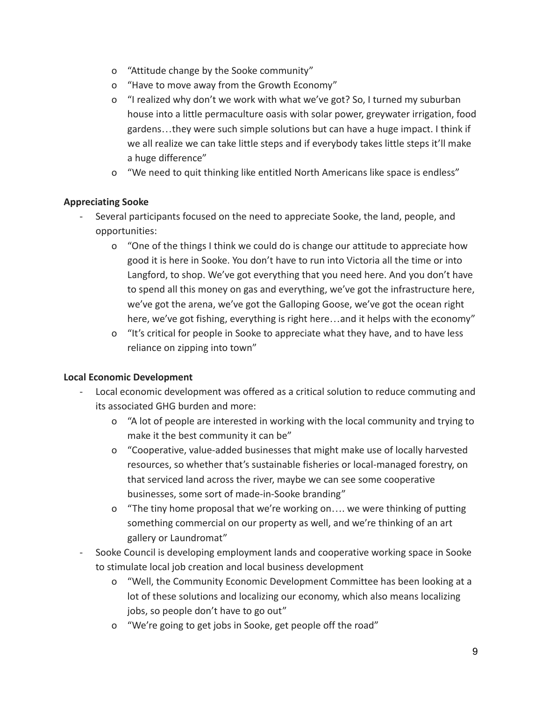- o "Attitude change by the Sooke community"
- o "Have to move away from the Growth Economy"
- o "I realized why don't we work with what we've got? So, I turned my suburban house into a little permaculture oasis with solar power, greywater irrigation, food gardens…they were such simple solutions but can have a huge impact. I think if we all realize we can take little steps and if everybody takes little steps it'll make a huge difference"
- o "We need to quit thinking like entitled North Americans like space is endless"

#### **Appreciating Sooke**

- Several participants focused on the need to appreciate Sooke, the land, people, and opportunities:
	- o "One of the things I think we could do is change our attitude to appreciate how good it is here in Sooke. You don't have to run into Victoria all the time or into Langford, to shop. We've got everything that you need here. And you don't have to spend all this money on gas and everything, we've got the infrastructure here, we've got the arena, we've got the Galloping Goose, we've got the ocean right here, we've got fishing, everything is right here...and it helps with the economy"
	- o "It's critical for people in Sooke to appreciate what they have, and to have less reliance on zipping into town"

#### **Local Economic Development**

- Local economic development was offered as a critical solution to reduce commuting and its associated GHG burden and more:
	- o "A lot of people are interested in working with the local community and trying to make it the best community it can be"
	- o "Cooperative, value-added businesses that might make use of locally harvested resources, so whether that's sustainable fisheries or local-managed forestry, on that serviced land across the river, maybe we can see some cooperative businesses, some sort of made-in-Sooke branding"
	- o "The tiny home proposal that we're working on…. we were thinking of putting something commercial on our property as well, and we're thinking of an art gallery or Laundromat"
- Sooke Council is developing employment lands and cooperative working space in Sooke to stimulate local job creation and local business development
	- o "Well, the Community Economic Development Committee has been looking at a lot of these solutions and localizing our economy, which also means localizing jobs, so people don't have to go out"
	- o "We're going to get jobs in Sooke, get people off the road"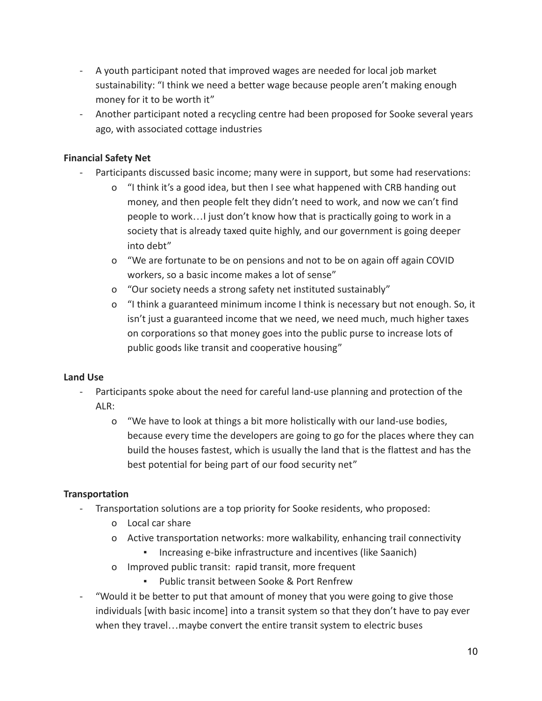- A youth participant noted that improved wages are needed for local job market sustainability: "I think we need a better wage because people aren't making enough money for it to be worth it"
- Another participant noted a recycling centre had been proposed for Sooke several years ago, with associated cottage industries

### **Financial Safety Net**

- Participants discussed basic income; many were in support, but some had reservations:
	- o "I think it's a good idea, but then I see what happened with CRB handing out money, and then people felt they didn't need to work, and now we can't find people to work…I just don't know how that is practically going to work in a society that is already taxed quite highly, and our government is going deeper into debt"
	- o "We are fortunate to be on pensions and not to be on again off again COVID workers, so a basic income makes a lot of sense"
	- o "Our society needs a strong safety net instituted sustainably"
	- o "I think a guaranteed minimum income I think is necessary but not enough. So, it isn't just a guaranteed income that we need, we need much, much higher taxes on corporations so that money goes into the public purse to increase lots of public goods like transit and cooperative housing"

#### **Land Use**

- Participants spoke about the need for careful land-use planning and protection of the  $AI R:$ 
	- o "We have to look at things a bit more holistically with our land-use bodies, because every time the developers are going to go for the places where they can build the houses fastest, which is usually the land that is the flattest and has the best potential for being part of our food security net"

## **Transportation**

- Transportation solutions are a top priority for Sooke residents, who proposed:
	- o Local car share
	- o Active transportation networks: more walkability, enhancing trail connectivity
		- Increasing e-bike infrastructure and incentives (like Saanich)
	- o Improved public transit: rapid transit, more frequent
		- Public transit between Sooke & Port Renfrew
- "Would it be better to put that amount of money that you were going to give those individuals [with basic income] into a transit system so that they don't have to pay ever when they travel…maybe convert the entire transit system to electric buses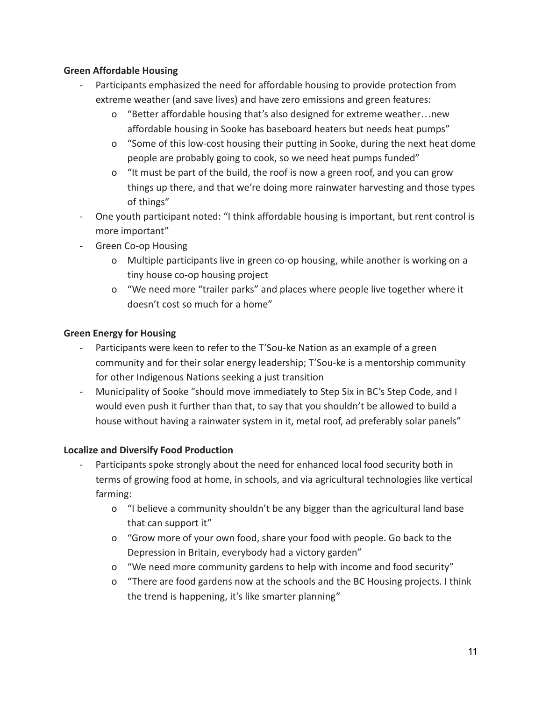#### **Green Affordable Housing**

- Participants emphasized the need for affordable housing to provide protection from extreme weather (and save lives) and have zero emissions and green features:
	- o "Better affordable housing that's also designed for extreme weather…new affordable housing in Sooke has baseboard heaters but needs heat pumps"
	- o "Some of this low-cost housing their putting in Sooke, during the next heat dome people are probably going to cook, so we need heat pumps funded"
	- o "It must be part of the build, the roof is now a green roof, and you can grow things up there, and that we're doing more rainwater harvesting and those types of things"
- One youth participant noted: "I think affordable housing is important, but rent control is more important"
- Green Co-op Housing
	- o Multiple participants live in green co-op housing, while another is working on a tiny house co-op housing project
	- o "We need more "trailer parks" and places where people live together where it doesn't cost so much for a home"

## **Green Energy for Housing**

- Participants were keen to refer to the T'Sou-ke Nation as an example of a green community and for their solar energy leadership; T'Sou-ke is a mentorship community for other Indigenous Nations seeking a just transition
- Municipality of Sooke "should move immediately to Step Six in BC's Step Code, and I would even push it further than that, to say that you shouldn't be allowed to build a house without having a rainwater system in it, metal roof, ad preferably solar panels"

## **Localize and Diversify Food Production**

- Participants spoke strongly about the need for enhanced local food security both in terms of growing food at home, in schools, and via agricultural technologies like vertical farming:
	- o "I believe a community shouldn't be any bigger than the agricultural land base that can support it"
	- o "Grow more of your own food, share your food with people. Go back to the Depression in Britain, everybody had a victory garden"
	- o "We need more community gardens to help with income and food security"
	- o "There are food gardens now at the schools and the BC Housing projects. I think the trend is happening, it's like smarter planning"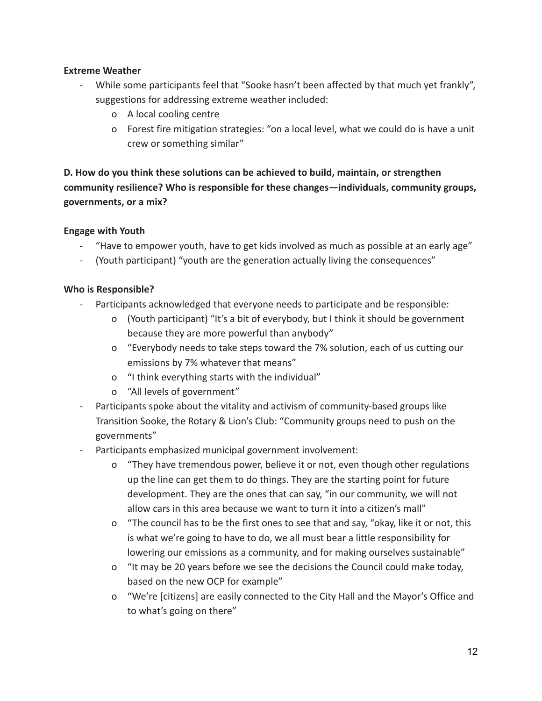#### **Extreme Weather**

- While some participants feel that "Sooke hasn't been affected by that much yet frankly", suggestions for addressing extreme weather included:
	- o A local cooling centre
	- o Forest fire mitigation strategies: "on a local level, what we could do is have a unit crew or something similar"

# **D. How do you think these solutions can be achieved to build, maintain, or strengthen community resilience? Who is responsible for these changes—individuals, community groups, governments, or a mix?**

#### **Engage with Youth**

- "Have to empower youth, have to get kids involved as much as possible at an early age"
- (Youth participant) "youth are the generation actually living the consequences"

#### **Who is Responsible?**

- Participants acknowledged that everyone needs to participate and be responsible:
	- o (Youth participant) "It's a bit of everybody, but I think it should be government because they are more powerful than anybody"
	- o "Everybody needs to take steps toward the 7% solution, each of us cutting our emissions by 7% whatever that means"
	- o "I think everything starts with the individual"
	- o "All levels of government"
- Participants spoke about the vitality and activism of community-based groups like Transition Sooke, the Rotary & Lion's Club: "Community groups need to push on the governments"
- Participants emphasized municipal government involvement:
	- o "They have tremendous power, believe it or not, even though other regulations up the line can get them to do things. They are the starting point for future development. They are the ones that can say, "in our community, we will not allow cars in this area because we want to turn it into a citizen's mall"
	- o "The council has to be the first ones to see that and say, "okay, like it or not, this is what we're going to have to do, we all must bear a little responsibility for lowering our emissions as a community, and for making ourselves sustainable"
	- o "It may be 20 years before we see the decisions the Council could make today, based on the new OCP for example"
	- o "We're [citizens] are easily connected to the City Hall and the Mayor's Office and to what's going on there"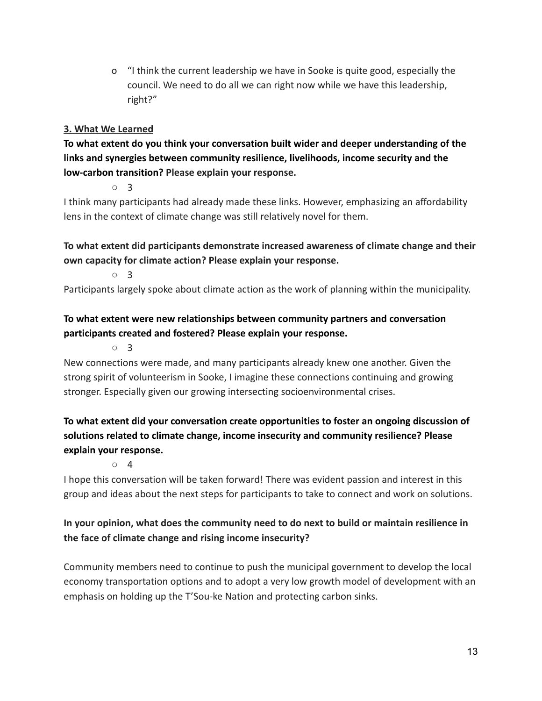o "I think the current leadership we have in Sooke is quite good, especially the council. We need to do all we can right now while we have this leadership, right?"

### **3. What We Learned**

**To what extent do you think your conversation built wider and deeper understanding of the links and synergies between community resilience, livelihoods, income security and the low-carbon transition? Please explain your response.**

○ 3

I think many participants had already made these links. However, emphasizing an affordability lens in the context of climate change was still relatively novel for them.

**To what extent did participants demonstrate increased awareness of climate change and their own capacity for climate action? Please explain your response.**

○ 3

Participants largely spoke about climate action as the work of planning within the municipality.

# **To what extent were new relationships between community partners and conversation participants created and fostered? Please explain your response.**

○ 3

New connections were made, and many participants already knew one another. Given the strong spirit of volunteerism in Sooke, I imagine these connections continuing and growing stronger. Especially given our growing intersecting socioenvironmental crises.

# **To what extent did your conversation create opportunities to foster an ongoing discussion of solutions related to climate change, income insecurity and community resilience? Please explain your response.**

○ 4

I hope this conversation will be taken forward! There was evident passion and interest in this group and ideas about the next steps for participants to take to connect and work on solutions.

# **In your opinion, what does the community need to do next to build or maintain resilience in the face of climate change and rising income insecurity?**

Community members need to continue to push the municipal government to develop the local economy transportation options and to adopt a very low growth model of development with an emphasis on holding up the T'Sou-ke Nation and protecting carbon sinks.